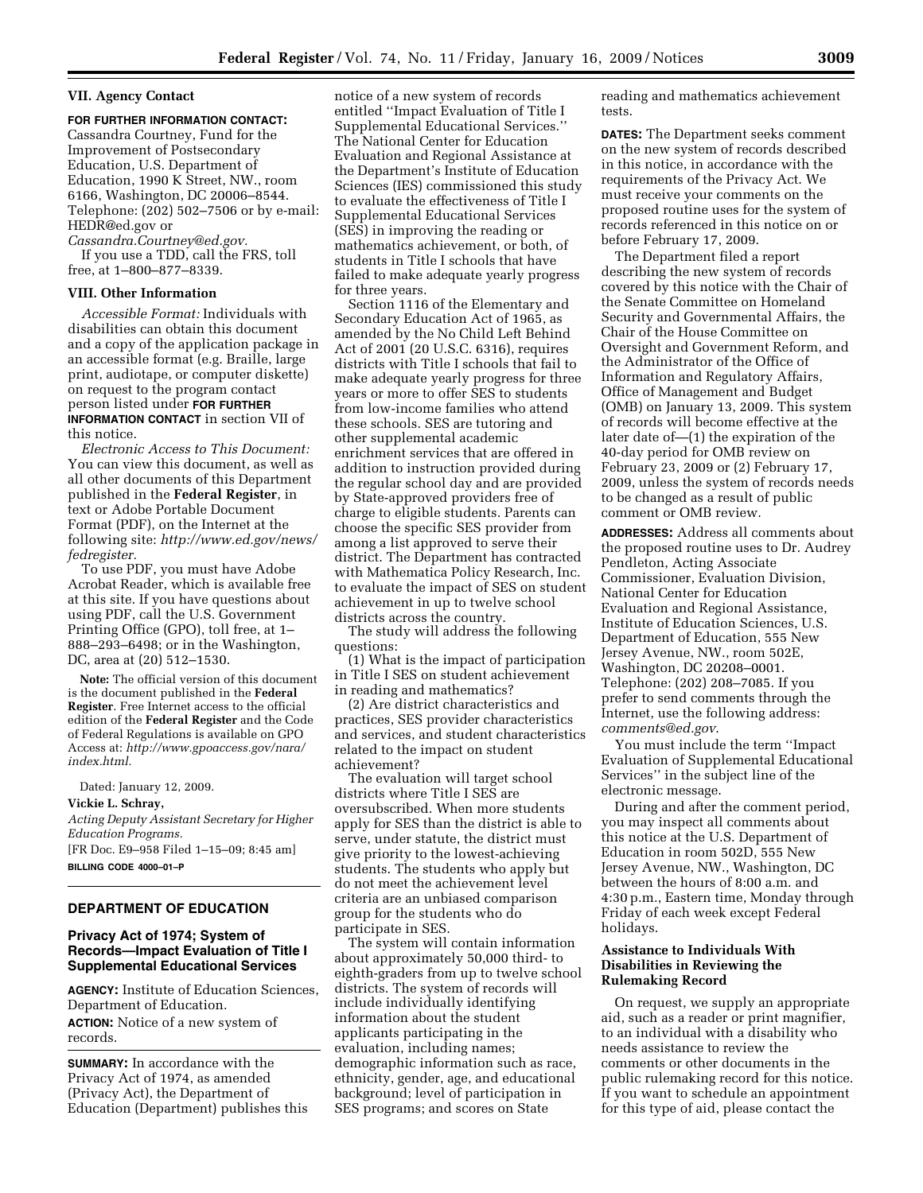## **VII. Agency Contact**

## **FOR FURTHER INFORMATION CONTACT:**

Cassandra Courtney, Fund for the Improvement of Postsecondary Education, U.S. Department of Education, 1990 K Street, NW., room 6166, Washington, DC 20006–8544. Telephone: (202) 502–7506 or by e-mail: HEDR@ed.gov or

*Cassandra.Courtney@ed.gov.* 

If you use a TDD, call the FRS, toll free, at 1–800–877–8339.

### **VIII. Other Information**

*Accessible Format:* Individuals with disabilities can obtain this document and a copy of the application package in an accessible format (e.g. Braille, large print, audiotape, or computer diskette) on request to the program contact person listed under **FOR FURTHER INFORMATION CONTACT** in section VII of this notice.

*Electronic Access to This Document:*  You can view this document, as well as all other documents of this Department published in the **Federal Register**, in text or Adobe Portable Document Format (PDF), on the Internet at the following site: *http://www.ed.gov/news/ fedregister.* 

To use PDF, you must have Adobe Acrobat Reader, which is available free at this site. If you have questions about using PDF, call the U.S. Government Printing Office (GPO), toll free, at 1– 888–293–6498; or in the Washington, DC, area at (20) 512–1530.

**Note:** The official version of this document is the document published in the **Federal Register**. Free Internet access to the official edition of the **Federal Register** and the Code of Federal Regulations is available on GPO Access at: *http://www.gpoaccess.gov/nara/ index.html.* 

Dated: January 12, 2009.

## **Vickie L. Schray,**

*Acting Deputy Assistant Secretary for Higher Education Programs.* 

[FR Doc. E9–958 Filed 1–15–09; 8:45 am] **BILLING CODE 4000–01–P** 

# **DEPARTMENT OF EDUCATION**

## **Privacy Act of 1974; System of Records—Impact Evaluation of Title I Supplemental Educational Services**

**AGENCY:** Institute of Education Sciences, Department of Education.

**ACTION:** Notice of a new system of records.

**SUMMARY:** In accordance with the Privacy Act of 1974, as amended (Privacy Act), the Department of Education (Department) publishes this notice of a new system of records entitled ''Impact Evaluation of Title I Supplemental Educational Services.'' The National Center for Education Evaluation and Regional Assistance at the Department's Institute of Education Sciences (IES) commissioned this study to evaluate the effectiveness of Title I Supplemental Educational Services (SES) in improving the reading or mathematics achievement, or both, of students in Title I schools that have failed to make adequate yearly progress for three years.

Section 1116 of the Elementary and Secondary Education Act of 1965, as amended by the No Child Left Behind Act of 2001 (20 U.S.C. 6316), requires districts with Title I schools that fail to make adequate yearly progress for three years or more to offer SES to students from low-income families who attend these schools. SES are tutoring and other supplemental academic enrichment services that are offered in addition to instruction provided during the regular school day and are provided by State-approved providers free of charge to eligible students. Parents can choose the specific SES provider from among a list approved to serve their district. The Department has contracted with Mathematica Policy Research, Inc. to evaluate the impact of SES on student achievement in up to twelve school districts across the country.

The study will address the following questions:

(1) What is the impact of participation in Title I SES on student achievement in reading and mathematics?

(2) Are district characteristics and practices, SES provider characteristics and services, and student characteristics related to the impact on student achievement?

The evaluation will target school districts where Title I SES are oversubscribed. When more students apply for SES than the district is able to serve, under statute, the district must give priority to the lowest-achieving students. The students who apply but do not meet the achievement level criteria are an unbiased comparison group for the students who do participate in SES.

The system will contain information about approximately 50,000 third- to eighth-graders from up to twelve school districts. The system of records will include individually identifying information about the student applicants participating in the evaluation, including names; demographic information such as race, ethnicity, gender, age, and educational background; level of participation in SES programs; and scores on State

reading and mathematics achievement tests.

**DATES:** The Department seeks comment on the new system of records described in this notice, in accordance with the requirements of the Privacy Act. We must receive your comments on the proposed routine uses for the system of records referenced in this notice on or before February 17, 2009.

The Department filed a report describing the new system of records covered by this notice with the Chair of the Senate Committee on Homeland Security and Governmental Affairs, the Chair of the House Committee on Oversight and Government Reform, and the Administrator of the Office of Information and Regulatory Affairs, Office of Management and Budget (OMB) on January 13, 2009. This system of records will become effective at the later date of—(1) the expiration of the 40-day period for OMB review on February 23, 2009 or (2) February 17, 2009, unless the system of records needs to be changed as a result of public comment or OMB review.

**ADDRESSES:** Address all comments about the proposed routine uses to Dr. Audrey Pendleton, Acting Associate Commissioner, Evaluation Division, National Center for Education Evaluation and Regional Assistance, Institute of Education Sciences, U.S. Department of Education, 555 New Jersey Avenue, NW., room 502E, Washington, DC 20208–0001. Telephone: (202) 208–7085. If you prefer to send comments through the Internet, use the following address: *comments@ed.gov*.

You must include the term ''Impact Evaluation of Supplemental Educational Services'' in the subject line of the electronic message.

During and after the comment period, you may inspect all comments about this notice at the U.S. Department of Education in room 502D, 555 New Jersey Avenue, NW., Washington, DC between the hours of 8:00 a.m. and 4:30 p.m., Eastern time, Monday through Friday of each week except Federal holidays.

## **Assistance to Individuals With Disabilities in Reviewing the Rulemaking Record**

On request, we supply an appropriate aid, such as a reader or print magnifier, to an individual with a disability who needs assistance to review the comments or other documents in the public rulemaking record for this notice. If you want to schedule an appointment for this type of aid, please contact the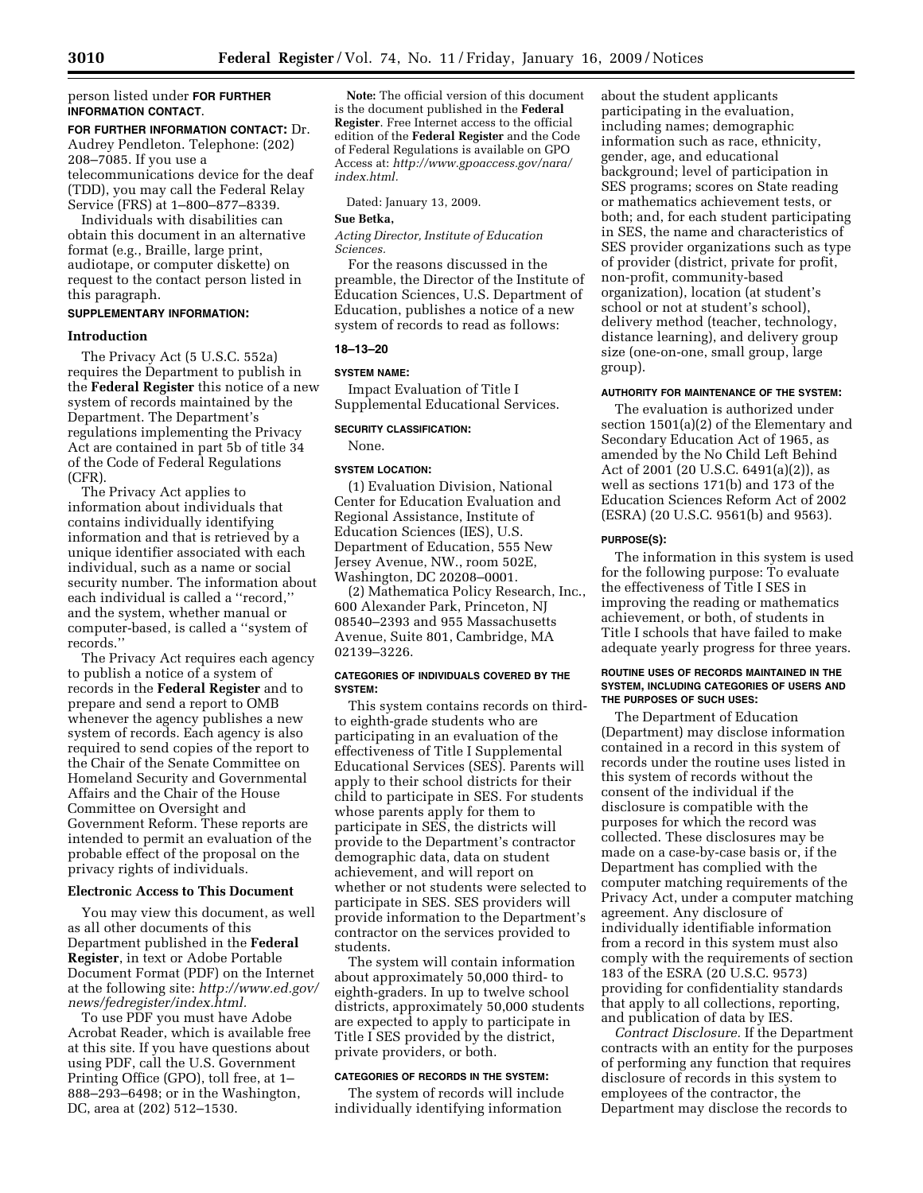### person listed under **FOR FURTHER INFORMATION CONTACT**.

**FOR FURTHER INFORMATION CONTACT:** Dr. Audrey Pendleton. Telephone: (202) 208–7085. If you use a telecommunications device for the deaf (TDD), you may call the Federal Relay Service (FRS) at 1–800–877–8339.

Individuals with disabilities can obtain this document in an alternative format (e.g., Braille, large print, audiotape, or computer diskette) on request to the contact person listed in this paragraph.

# **SUPPLEMENTARY INFORMATION:**

### **Introduction**

The Privacy Act (5 U.S.C. 552a) requires the Department to publish in the **Federal Register** this notice of a new system of records maintained by the Department. The Department's regulations implementing the Privacy Act are contained in part 5b of title 34 of the Code of Federal Regulations (CFR).

The Privacy Act applies to information about individuals that contains individually identifying information and that is retrieved by a unique identifier associated with each individual, such as a name or social security number. The information about each individual is called a ''record,'' and the system, whether manual or computer-based, is called a ''system of records.''

The Privacy Act requires each agency to publish a notice of a system of records in the **Federal Register** and to prepare and send a report to OMB whenever the agency publishes a new system of records. Each agency is also required to send copies of the report to the Chair of the Senate Committee on Homeland Security and Governmental Affairs and the Chair of the House Committee on Oversight and Government Reform. These reports are intended to permit an evaluation of the probable effect of the proposal on the privacy rights of individuals.

### **Electronic Access to This Document**

You may view this document, as well as all other documents of this Department published in the **Federal Register**, in text or Adobe Portable Document Format (PDF) on the Internet at the following site: *http://www.ed.gov/ news/fedregister/index.html.* 

To use PDF you must have Adobe Acrobat Reader, which is available free at this site. If you have questions about using PDF, call the U.S. Government Printing Office (GPO), toll free, at 1– 888–293–6498; or in the Washington, DC, area at (202) 512–1530.

**Note:** The official version of this document is the document published in the **Federal Register**. Free Internet access to the official edition of the **Federal Register** and the Code of Federal Regulations is available on GPO Access at: *http://www.gpoaccess.gov/nara/ index.html.* 

Dated: January 13, 2009.

### **Sue Betka,**

*Acting Director, Institute of Education Sciences.* 

For the reasons discussed in the preamble, the Director of the Institute of Education Sciences, U.S. Department of Education, publishes a notice of a new system of records to read as follows:

### **18–13–20**

#### **SYSTEM NAME:**

Impact Evaluation of Title I Supplemental Educational Services.

### **SECURITY CLASSIFICATION:**

None.

# **SYSTEM LOCATION:**

(1) Evaluation Division, National Center for Education Evaluation and Regional Assistance, Institute of Education Sciences (IES), U.S. Department of Education, 555 New Jersey Avenue, NW., room 502E, Washington, DC 20208–0001.

(2) Mathematica Policy Research, Inc., 600 Alexander Park, Princeton, NJ 08540–2393 and 955 Massachusetts Avenue, Suite 801, Cambridge, MA 02139–3226.

### **CATEGORIES OF INDIVIDUALS COVERED BY THE SYSTEM:**

This system contains records on thirdto eighth-grade students who are participating in an evaluation of the effectiveness of Title I Supplemental Educational Services (SES). Parents will apply to their school districts for their child to participate in SES. For students whose parents apply for them to participate in SES, the districts will provide to the Department's contractor demographic data, data on student achievement, and will report on whether or not students were selected to participate in SES. SES providers will provide information to the Department's contractor on the services provided to students.

The system will contain information about approximately 50,000 third- to eighth-graders. In up to twelve school districts, approximately 50,000 students are expected to apply to participate in Title I SES provided by the district, private providers, or both.

### **CATEGORIES OF RECORDS IN THE SYSTEM:**

The system of records will include individually identifying information

about the student applicants participating in the evaluation, including names; demographic information such as race, ethnicity, gender, age, and educational background; level of participation in SES programs; scores on State reading or mathematics achievement tests, or both; and, for each student participating in SES, the name and characteristics of SES provider organizations such as type of provider (district, private for profit, non-profit, community-based organization), location (at student's school or not at student's school), delivery method (teacher, technology, distance learning), and delivery group size (one-on-one, small group, large group).

#### **AUTHORITY FOR MAINTENANCE OF THE SYSTEM:**

The evaluation is authorized under section 1501(a)(2) of the Elementary and Secondary Education Act of 1965, as amended by the No Child Left Behind Act of 2001 (20 U.S.C. 6491(a)(2)), as well as sections 171(b) and 173 of the Education Sciences Reform Act of 2002 (ESRA) (20 U.S.C. 9561(b) and 9563).

#### **PURPOSE(S):**

The information in this system is used for the following purpose: To evaluate the effectiveness of Title I SES in improving the reading or mathematics achievement, or both, of students in Title I schools that have failed to make adequate yearly progress for three years.

### **ROUTINE USES OF RECORDS MAINTAINED IN THE SYSTEM, INCLUDING CATEGORIES OF USERS AND THE PURPOSES OF SUCH USES:**

The Department of Education (Department) may disclose information contained in a record in this system of records under the routine uses listed in this system of records without the consent of the individual if the disclosure is compatible with the purposes for which the record was collected. These disclosures may be made on a case-by-case basis or, if the Department has complied with the computer matching requirements of the Privacy Act, under a computer matching agreement. Any disclosure of individually identifiable information from a record in this system must also comply with the requirements of section 183 of the ESRA (20 U.S.C. 9573) providing for confidentiality standards that apply to all collections, reporting, and publication of data by IES.

*Contract Disclosure.* If the Department contracts with an entity for the purposes of performing any function that requires disclosure of records in this system to employees of the contractor, the Department may disclose the records to